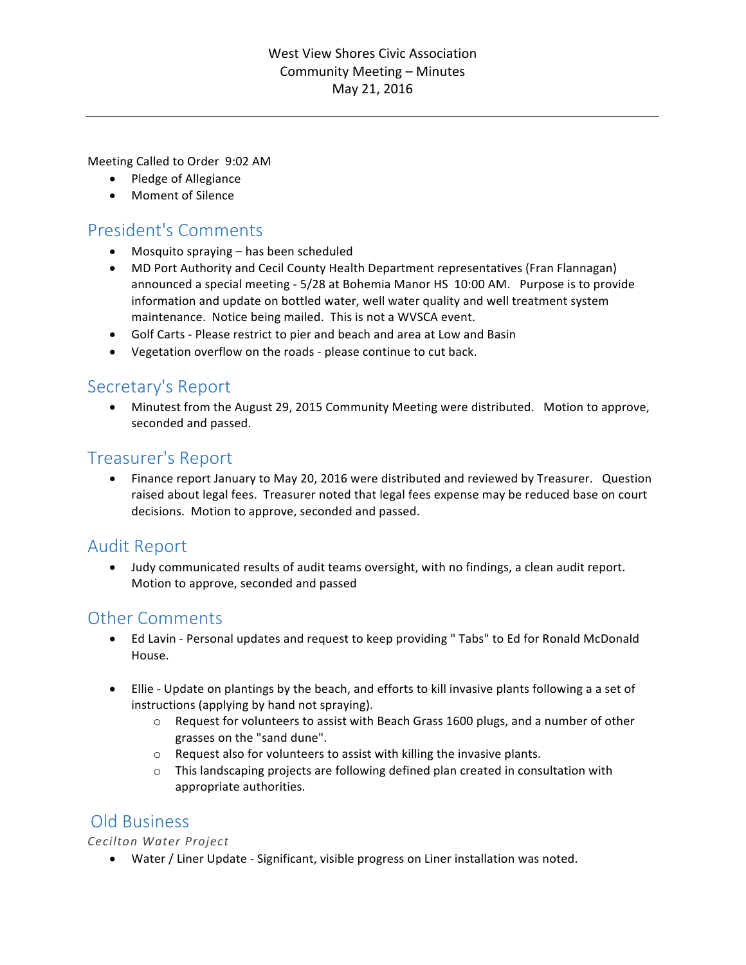### West View Shores Civic Association Community Meeting – Minutes May 21, 2016

Meeting Called to Order 9:02 AM

- Pledge of Allegiance
- Moment of Silence

# President's Comments

- $\bullet$  Mosquito spraying  $-$  has been scheduled
- MD Port Authority and Cecil County Health Department representatives (Fran Flannagan) announced a special meeting - 5/28 at Bohemia Manor HS 10:00 AM. Purpose is to provide information and update on bottled water, well water quality and well treatment system maintenance. Notice being mailed. This is not a WVSCA event.
- Golf Carts Please restrict to pier and beach and area at Low and Basin
- Vegetation overflow on the roads please continue to cut back.

# Secretary's Report

• Minutest from the August 29, 2015 Community Meeting were distributed. Motion to approve, seconded and passed.

## Treasurer's Report

Finance report January to May 20, 2016 were distributed and reviewed by Treasurer. Question raised about legal fees. Treasurer noted that legal fees expense may be reduced base on court decisions. Motion to approve, seconded and passed.

# **Audit Report**

• Judy communicated results of audit teams oversight, with no findings, a clean audit report. Motion to approve, seconded and passed

# **Other Comments**

- Ed Lavin Personal updates and request to keep providing " Tabs" to Ed for Ronald McDonald House.
- Ellie Update on plantings by the beach, and efforts to kill invasive plants following a a set of instructions (applying by hand not spraying).
	- $\circ$  Request for volunteers to assist with Beach Grass 1600 plugs, and a number of other grasses on the "sand dune".
	- $\circ$  Request also for volunteers to assist with killing the invasive plants.
	- $\circ$  This landscaping projects are following defined plan created in consultation with appropriate authorities.

## Old Business

*Cecilton Water Project*

• Water / Liner Update - Significant, visible progress on Liner installation was noted.